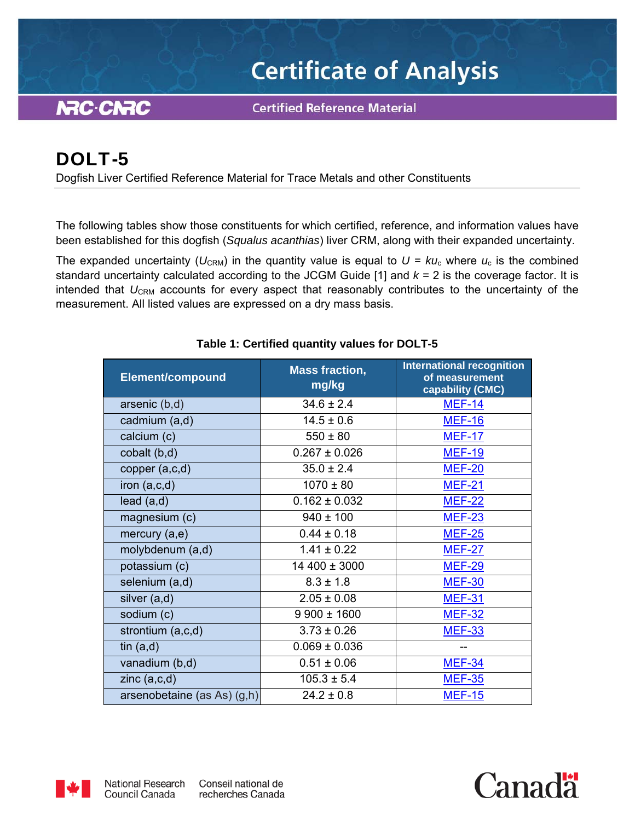# **Certificate of Analysis**

**NRC-CNRC** 

**Certified Reference Material** 

# DOLT-5

Dogfish Liver Certified Reference Material for Trace Metals and other Constituents

The following tables show those constituents for which certified, reference, and information values have been established for this dogfish (*Squalus acanthias*) liver CRM, along with their expanded uncertainty.

The expanded uncertainty ( $U_{\text{CRM}}$ ) in the quantity value is equal to  $U = k u_c$  where  $u_c$  is the combined standard uncertainty calculated according to the JCGM Guide [1] and *k* = 2 is the coverage factor. It is intended that U<sub>CRM</sub> accounts for every aspect that reasonably contributes to the uncertainty of the measurement. All listed values are expressed on a dry mass basis.

| <b>Element/compound</b>     | <b>Mass fraction,</b><br>mg/kg   | <b>International recognition</b><br>of measurement<br>capability (CMC) |  |
|-----------------------------|----------------------------------|------------------------------------------------------------------------|--|
| arsenic (b,d)               | $34.6 \pm 2.4$                   | <b>MEF-14</b>                                                          |  |
| cadmium (a,d)               | $14.5 \pm 0.6$                   | <b>MEF-16</b>                                                          |  |
| calcium (c)                 | $550 \pm 80$                     | <b>MEF-17</b>                                                          |  |
| cobalt (b,d)                | $0.267 \pm 0.026$                | <b>MEF-19</b>                                                          |  |
| copper $(a, c, d)$          | $35.0 \pm 2.4$                   | <b>MEF-20</b>                                                          |  |
| iron $(a, c, d)$            | $1070 \pm 80$                    | <b>MEF-21</b>                                                          |  |
| lead(a,d)                   | $0.162 \pm 0.032$                | <b>MEF-22</b>                                                          |  |
| magnesium (c)               | $940 \pm 100$                    | <b>MEF-23</b>                                                          |  |
| mercury (a,e)               | $0.44 \pm 0.18$                  | <b>MEF-25</b>                                                          |  |
| molybdenum (a,d)            | $1.41 \pm 0.22$                  | <b>MEF-27</b>                                                          |  |
| potassium (c)               | 14 400 ± 3000                    | <b>MEF-29</b>                                                          |  |
| selenium (a,d)              | $8.3 \pm 1.8$                    | <b>MEF-30</b>                                                          |  |
| silver (a,d)                | $2.05 \pm 0.08$                  | <b>MEF-31</b>                                                          |  |
| sodium (c)                  | $9900 \pm 1600$                  | <b>MEF-32</b>                                                          |  |
| strontium (a,c,d)           | $3.73 \pm 0.26$                  | <b>MEF-33</b>                                                          |  |
| tin $(a,d)$                 | $0.069 \pm 0.036$                |                                                                        |  |
| vanadium (b,d)              | $0.51 \pm 0.06$<br><b>MEF-34</b> |                                                                        |  |
| zinc $(a, c, d)$            | $105.3 \pm 5.4$                  | <b>MEF-35</b>                                                          |  |
| arsenobetaine (as As) (g,h) | $24.2 \pm 0.8$                   | <b>MEF-15</b>                                                          |  |

*Canadä* 

## **Table 1: Certified quantity values for DOLT-5**

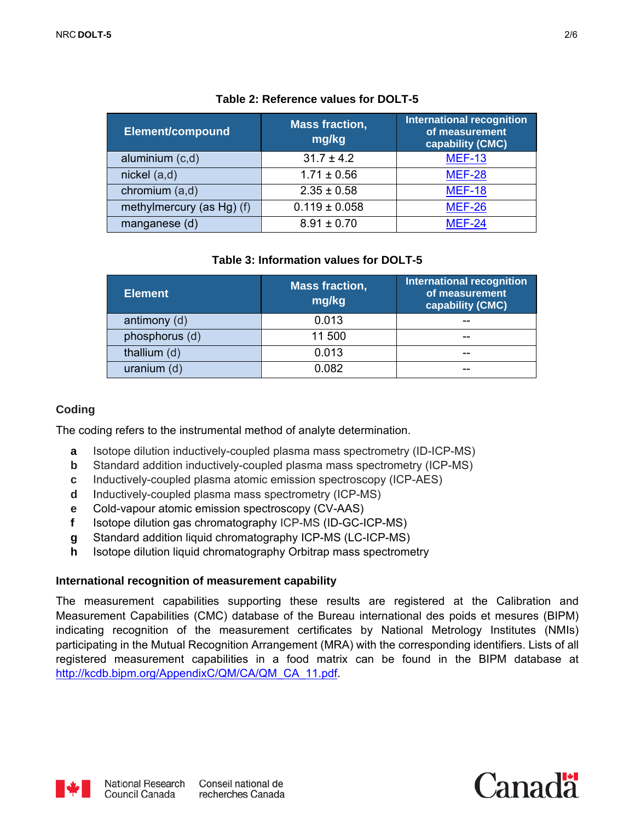| <b>Element/compound</b>   | <b>Mass fraction,</b><br>mg/kg | <b>International recognition</b><br>of measurement<br>capability (CMC) |
|---------------------------|--------------------------------|------------------------------------------------------------------------|
| aluminium (c,d)           | $31.7 \pm 4.2$                 | <b>MEF-13</b>                                                          |
| nickel (a,d)              | $1.71 \pm 0.56$                | <b>MEF-28</b>                                                          |
| chromium (a,d)            | $2.35 \pm 0.58$                | <b>MEF-18</b>                                                          |
| methylmercury (as Hg) (f) | $0.119 \pm 0.058$              | <b>MEF-26</b>                                                          |
| manganese (d)             | $8.91 \pm 0.70$                | <b>MEF-24</b>                                                          |

#### **Table 2: Reference values for DOLT-5**

#### **Table 3: Information values for DOLT-5**

| <b>Element</b> | <b>Mass fraction,</b><br>mg/kg | <b>International recognition</b><br>of measurement<br>capability (CMC) |
|----------------|--------------------------------|------------------------------------------------------------------------|
| antimony (d)   | 0.013                          | --                                                                     |
| phosphorus (d) | 11 500                         | --                                                                     |
| thallium (d)   | 0.013                          | --                                                                     |
| uranium $(d)$  | 0.082                          | --                                                                     |

#### **Coding**

The coding refers to the instrumental method of analyte determination.

- **a** Isotope dilution inductively-coupled plasma mass spectrometry (ID-ICP-MS)
- **b** Standard addition inductively-coupled plasma mass spectrometry (ICP-MS)
- **c** Inductively-coupled plasma atomic emission spectroscopy (ICP-AES)
- **d** Inductively-coupled plasma mass spectrometry (ICP-MS)
- **e** Cold-vapour atomic emission spectroscopy (CV-AAS)
- **f** Isotope dilution gas chromatography ICP-MS (ID-GC-ICP-MS)
- **g** Standard addition liquid chromatography ICP-MS (LC-ICP-MS)
- **h** Isotope dilution liquid chromatography Orbitrap mass spectrometry

#### **International recognition of measurement capability**

The measurement capabilities supporting these results are registered at the Calibration and Measurement Capabilities (CMC) database of the Bureau international des poids et mesures (BIPM) indicating recognition of the measurement certificates by National Metrology Institutes (NMIs) participating in the Mutual Recognition Arrangement (MRA) with the corresponding identifiers. Lists of all registered measurement capabilities in a food matrix can be found in the BIPM database at http://kcdb.bipm.org/AppendixC/QM/CA/QM\_CA\_11.pdf.



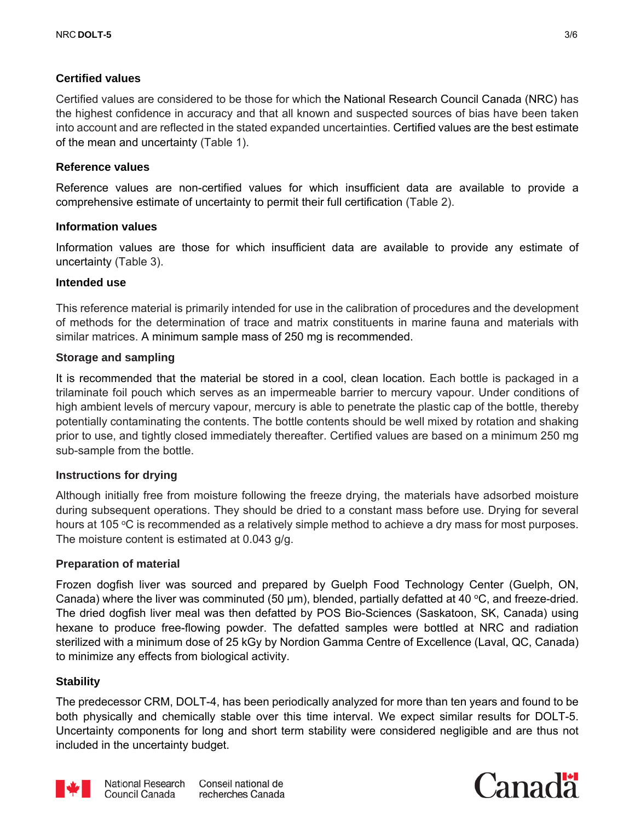## **Certified values**

Certified values are considered to be those for which the National Research Council Canada (NRC) has the highest confidence in accuracy and that all known and suspected sources of bias have been taken into account and are reflected in the stated expanded uncertainties. Certified values are the best estimate of the mean and uncertainty (Table 1).

#### **Reference values**

Reference values are non-certified values for which insufficient data are available to provide a comprehensive estimate of uncertainty to permit their full certification (Table 2).

#### **Information values**

Information values are those for which insufficient data are available to provide any estimate of uncertainty (Table 3).

#### **Intended use**

This reference material is primarily intended for use in the calibration of procedures and the development of methods for the determination of trace and matrix constituents in marine fauna and materials with similar matrices. A minimum sample mass of 250 mg is recommended.

#### **Storage and sampling**

It is recommended that the material be stored in a cool, clean location. Each bottle is packaged in a trilaminate foil pouch which serves as an impermeable barrier to mercury vapour. Under conditions of high ambient levels of mercury vapour, mercury is able to penetrate the plastic cap of the bottle, thereby potentially contaminating the contents. The bottle contents should be well mixed by rotation and shaking prior to use, and tightly closed immediately thereafter. Certified values are based on a minimum 250 mg sub-sample from the bottle.

#### **Instructions for drying**

Although initially free from moisture following the freeze drying, the materials have adsorbed moisture during subsequent operations. They should be dried to a constant mass before use. Drying for several hours at 105 °C is recommended as a relatively simple method to achieve a dry mass for most purposes. The moisture content is estimated at 0.043 g/g.

#### **Preparation of material**

Frozen dogfish liver was sourced and prepared by Guelph Food Technology Center (Guelph, ON, Canada) where the liver was comminuted (50  $\mu$ m), blended, partially defatted at 40 °C, and freeze-dried. The dried dogfish liver meal was then defatted by POS Bio-Sciences (Saskatoon, SK, Canada) using hexane to produce free-flowing powder. The defatted samples were bottled at NRC and radiation sterilized with a minimum dose of 25 kGy by Nordion Gamma Centre of Excellence (Laval, QC, Canada) to minimize any effects from biological activity.

#### **Stability**

The predecessor CRM, DOLT-4, has been periodically analyzed for more than ten years and found to be both physically and chemically stable over this time interval. We expect similar results for DOLT-5. Uncertainty components for long and short term stability were considered negligible and are thus not included in the uncertainty budget.



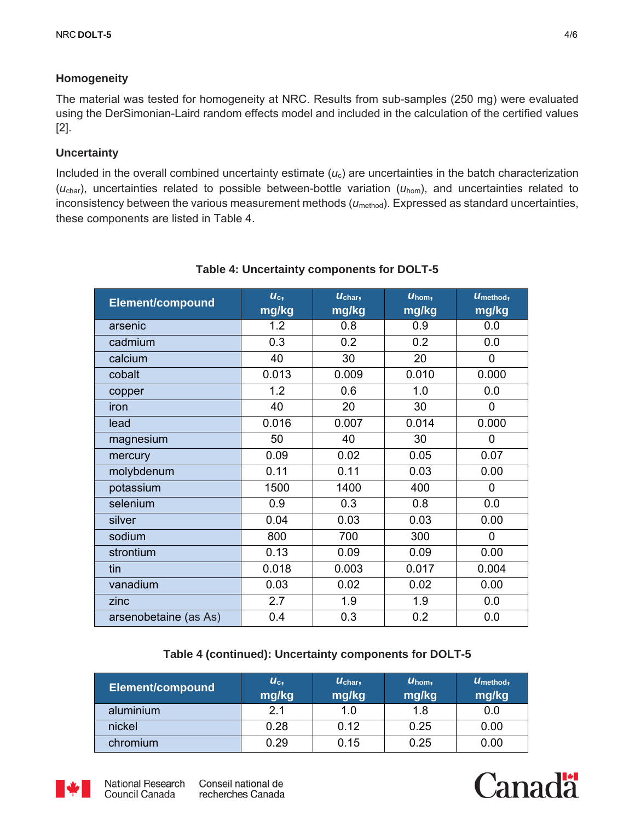# **Homogeneity**

The material was tested for homogeneity at NRC. Results from sub-samples (250 mg) were evaluated using the DerSimonian-Laird random effects model and included in the calculation of the certified values [2].

# **Uncertainty**

Included in the overall combined uncertainty estimate (*u*c) are uncertainties in the batch characterization (*u*char), uncertainties related to possible between-bottle variation (*u*hom), and uncertainties related to inconsistency between the various measurement methods ( $u_{\text{method}}$ ). Expressed as standard uncertainties, these components are listed in Table 4.

| <b>Element/compound</b> | $U_c$<br>mg/kg | Uchar,<br>mg/kg | $U_{\text{hom}}$<br>mg/kg | U <sub>method</sub><br>mg/kg |
|-------------------------|----------------|-----------------|---------------------------|------------------------------|
| arsenic                 | 1.2            | 0.8             | 0.9                       | 0.0                          |
| cadmium                 | 0.3            | 0.2             | 0.2                       | 0.0                          |
| calcium                 | 40             | 30              | 20                        | 0                            |
| cobalt                  | 0.013          | 0.009           | 0.010                     | 0.000                        |
| copper                  | 1.2            | 0.6             | 1.0                       | 0.0                          |
| iron                    | 40             | 20              | 30                        | $\overline{0}$               |
| lead                    | 0.016          | 0.007           | 0.014                     | 0.000                        |
| magnesium               | 50             | 40              | 30                        | 0                            |
| mercury                 | 0.09           | 0.02            | 0.05                      | 0.07                         |
| molybdenum              | 0.11           | 0.11            | 0.03                      | 0.00                         |
| potassium               | 1500           | 1400            | 400                       | 0                            |
| selenium                | 0.9            | 0.3             | 0.8                       | 0.0                          |
| silver                  | 0.04           | 0.03            | 0.03                      | 0.00                         |
| sodium                  | 800            | 700             | 300                       | 0                            |
| strontium               | 0.13           | 0.09            | 0.09                      | 0.00                         |
| tin                     | 0.018          | 0.003           | 0.017                     | 0.004                        |
| vanadium                | 0.03           | 0.02            | 0.02                      | 0.00                         |
| zinc                    | 2.7            | 1.9             | 1.9                       | 0.0                          |
| arsenobetaine (as As)   | 0.4            | 0.3             | 0.2                       | 0.0                          |

# **Table 4: Uncertainty components for DOLT-5**

#### **Table 4 (continued): Uncertainty components for DOLT-5**

| <b>Element/compound</b> | $U_c$<br>mg/kg | $U_{\text{char}}$<br>mg/kg | $U_{\text{hom}}$<br>mg/kg | $U_{\text{method}}$<br>mg/kg |
|-------------------------|----------------|----------------------------|---------------------------|------------------------------|
| aluminium               | 2.1            | 1.0                        | 1.8                       | 0.0                          |
| nickel                  | 0.28           | 0.12                       | 0.25                      | 0.00                         |
| chromium                | 0.29           | 0.15                       | 0.25                      | 0.00                         |



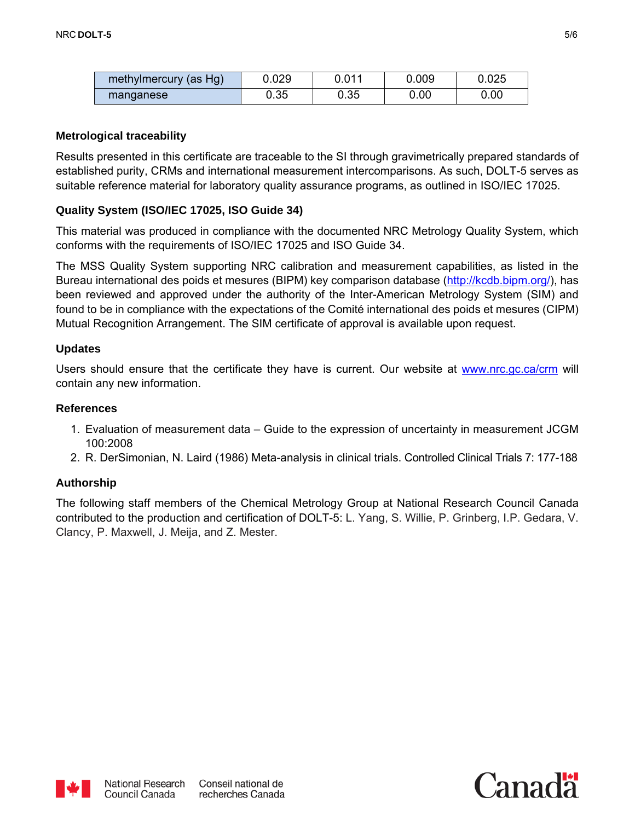| methylmercury (as Hg) | 0.029 | 0.011 | 0.009 | 0.025 |
|-----------------------|-------|-------|-------|-------|
| manganese             | 0.35  | 0.35  | 0.00  | 0.00  |

#### **Metrological traceability**

Results presented in this certificate are traceable to the SI through gravimetrically prepared standards of established purity, CRMs and international measurement intercomparisons. As such, DOLT-5 serves as suitable reference material for laboratory quality assurance programs, as outlined in ISO/IEC 17025.

#### **Quality System (ISO/IEC 17025, ISO Guide 34)**

This material was produced in compliance with the documented NRC Metrology Quality System, which conforms with the requirements of ISO/IEC 17025 and ISO Guide 34.

The MSS Quality System supporting NRC calibration and measurement capabilities, as listed in the Bureau international des poids et mesures (BIPM) key comparison database (http://kcdb.bipm.org/), has been reviewed and approved under the authority of the Inter-American Metrology System (SIM) and found to be in compliance with the expectations of the Comité international des poids et mesures (CIPM) Mutual Recognition Arrangement. The SIM certificate of approval is available upon request.

#### **Updates**

Users should ensure that the certificate they have is current. Our website at www.nrc.gc.ca/crm will contain any new information.

#### **References**

- 1. Evaluation of measurement data Guide to the expression of uncertainty in measurement JCGM 100:2008
- 2. R. DerSimonian, N. Laird (1986) Meta-analysis in clinical trials. Controlled Clinical Trials 7: 177-188

#### **Authorship**

The following staff members of the Chemical Metrology Group at National Research Council Canada contributed to the production and certification of DOLT-5: L. Yang, S. Willie, P. Grinberg, I.P. Gedara, V. Clancy, P. Maxwell, J. Meija, and Z. Mester.